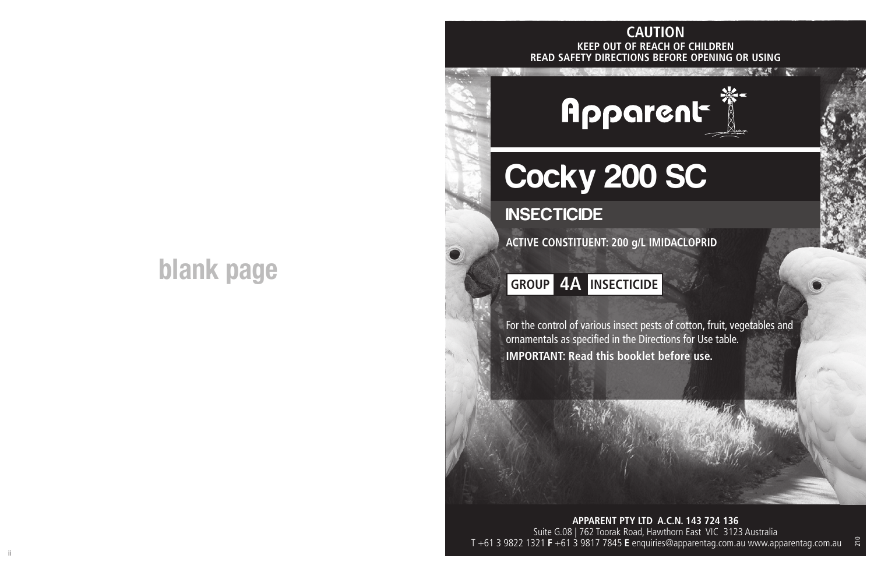## **blank page**

#### **KEEP OUT OF REACH OF CHILDREN READ SAFETY DIRECTIONS BEFORE OPENING OR USING CAUTION**

Apparent

# Cocky 200 SC

**INSECTICIDE** 

**ACTIVE CONSTITUENT: 200 g/L IMIDACLOPRID**

### **GROUP 4A INSECTICIDE**

For the control of various insect pests of cotton, fruit, vegetables and ornamentals as specified in the Directions for Use table. **IMPORTANT: Read this booklet before use.**

**APPARENT PTY LTD A.C.N. 143 724 136** Suite G.08 | 762 Toorak Road, Hawthorn East VIC 3123 Australia T +61 3 9822 1321 **F** +61 3 9817 7845 **E** enquiries@apparentag.com.au www.apparentag.com.au

210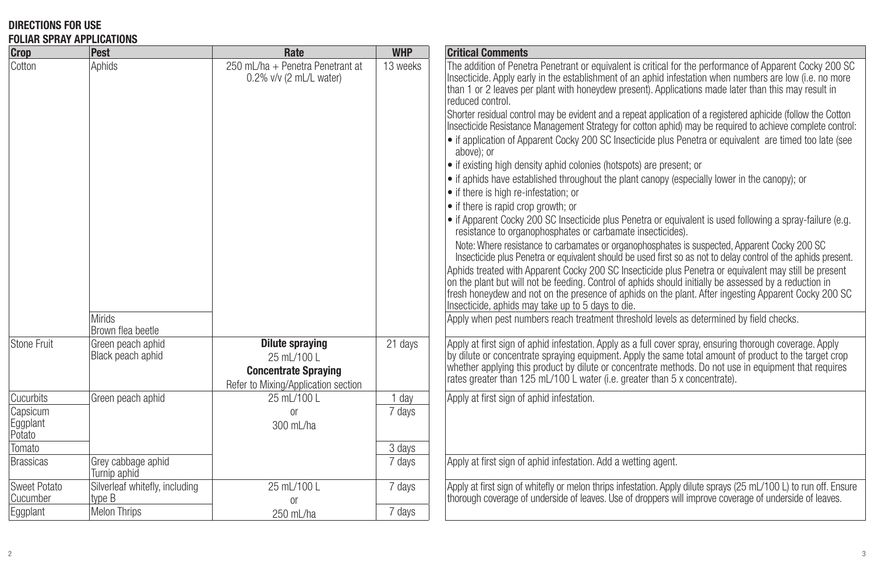#### **DIRECTIONS FOR USE FOLIAR SPRAY APPLICATIONS**

| <u>VEIAU VEIALE ALLEIVALIVIU</u><br><b>Crop</b> | Pest                                     | Rate                                                                                                 | <b>WHP</b>       | <b>Critical Comments</b>                                                                                                                                                                                                                                                                                                                                                                                                                                                                                                                                                                                                                                                                                                                                                                                                                                                                                                                                                                                                                                                                                                                                                                                                                                                                                                                                                                                                                                                                                                                                                                                                                                                                                                                                                                                                                |
|-------------------------------------------------|------------------------------------------|------------------------------------------------------------------------------------------------------|------------------|-----------------------------------------------------------------------------------------------------------------------------------------------------------------------------------------------------------------------------------------------------------------------------------------------------------------------------------------------------------------------------------------------------------------------------------------------------------------------------------------------------------------------------------------------------------------------------------------------------------------------------------------------------------------------------------------------------------------------------------------------------------------------------------------------------------------------------------------------------------------------------------------------------------------------------------------------------------------------------------------------------------------------------------------------------------------------------------------------------------------------------------------------------------------------------------------------------------------------------------------------------------------------------------------------------------------------------------------------------------------------------------------------------------------------------------------------------------------------------------------------------------------------------------------------------------------------------------------------------------------------------------------------------------------------------------------------------------------------------------------------------------------------------------------------------------------------------------------|
| Cotton                                          | Aphids<br><b>Mirids</b>                  | 250 mL/ha + Penetra Penetrant at<br>$0.2\%$ v/v (2 mL/L water)                                       | 13 weeks         | The addition of Penetra Penetrant or equivalent is critical for the performance of Apparent Cocky 200 SC<br>Insecticide. Apply early in the establishment of an aphid infestation when numbers are low (i.e. no more<br>than 1 or 2 leaves per plant with honeydew present). Applications made later than this may result in<br>reduced control.<br>Shorter residual control may be evident and a repeat application of a registered aphicide (follow the Cotton<br>Insecticide Resistance Management Strategy for cotton aphid) may be required to achieve complete control:<br>• if application of Apparent Cocky 200 SC Insecticide plus Penetra or equivalent are timed too late (see<br>above): or<br>• if existing high density aphid colonies (hotspots) are present; or<br>• if aphids have established throughout the plant canopy (especially lower in the canopy); or<br>• if there is high re-infestation; or<br>• if there is rapid crop growth; or<br>• if Apparent Cocky 200 SC Insecticide plus Penetra or equivalent is used following a spray-failure (e.g.<br>resistance to organophosphates or carbamate insecticides).<br>Note: Where resistance to carbamates or organophosphates is suspected, Apparent Cocky 200 SC<br>Insecticide plus Penetra or equivalent should be used first so as not to delay control of the aphids present.<br>Aphids treated with Apparent Cocky 200 SC Insecticide plus Penetra or equivalent may still be present<br>on the plant but will not be feeding. Control of aphids should initially be assessed by a reduction in<br>fresh honeydew and not on the presence of aphids on the plant. After ingesting Apparent Cocky 200 SC<br>Insecticide, aphids may take up to 5 days to die.<br>Apply when pest numbers reach treatment threshold levels as determined by field checks. |
|                                                 | Brown flea beetle                        |                                                                                                      |                  |                                                                                                                                                                                                                                                                                                                                                                                                                                                                                                                                                                                                                                                                                                                                                                                                                                                                                                                                                                                                                                                                                                                                                                                                                                                                                                                                                                                                                                                                                                                                                                                                                                                                                                                                                                                                                                         |
| Stone Fruit                                     | Green peach aphid<br>Black peach aphid   | Dilute spraying<br>25 mL/100 L<br><b>Concentrate Spraying</b><br>Refer to Mixing/Application section | 21 days          | Apply at first sign of aphid infestation. Apply as a full cover spray, ensuring thorough coverage. Apply<br>by dilute or concentrate spraying equipment. Apply the same total amount of product to the target crop<br>whether applying this product by dilute or concentrate methods. Do not use in equipment that requires<br>rates greater than 125 mL/100 L water (i.e. greater than 5 x concentrate).                                                                                                                                                                                                                                                                                                                                                                                                                                                                                                                                                                                                                                                                                                                                                                                                                                                                                                                                                                                                                                                                                                                                                                                                                                                                                                                                                                                                                               |
| Cucurbits                                       | Green peach aphid                        | 25 mL/100 L                                                                                          | 1 day            | Apply at first sign of aphid infestation.                                                                                                                                                                                                                                                                                                                                                                                                                                                                                                                                                                                                                                                                                                                                                                                                                                                                                                                                                                                                                                                                                                                                                                                                                                                                                                                                                                                                                                                                                                                                                                                                                                                                                                                                                                                               |
| Capsicum<br>Eggplant<br>Potato<br>Tomato        |                                          | <sub>or</sub><br>300 mL/ha                                                                           | 7 days<br>3 days |                                                                                                                                                                                                                                                                                                                                                                                                                                                                                                                                                                                                                                                                                                                                                                                                                                                                                                                                                                                                                                                                                                                                                                                                                                                                                                                                                                                                                                                                                                                                                                                                                                                                                                                                                                                                                                         |
| Brassicas                                       | Grey cabbage aphid<br>Turnip aphid       |                                                                                                      | 7 days           | Apply at first sign of aphid infestation. Add a wetting agent.                                                                                                                                                                                                                                                                                                                                                                                                                                                                                                                                                                                                                                                                                                                                                                                                                                                                                                                                                                                                                                                                                                                                                                                                                                                                                                                                                                                                                                                                                                                                                                                                                                                                                                                                                                          |
| Sweet Potato<br>Cucumber                        | Silverleaf whitefly, including<br>type B | 25 mL/100 L<br><sub>0r</sub>                                                                         | 7 days           | Apply at first sign of whitefly or melon thrips infestation. Apply dilute sprays (25 mL/100 L) to run off. Ensure<br>thorough coverage of underside of leaves. Use of droppers will improve coverage of underside of leaves.                                                                                                                                                                                                                                                                                                                                                                                                                                                                                                                                                                                                                                                                                                                                                                                                                                                                                                                                                                                                                                                                                                                                                                                                                                                                                                                                                                                                                                                                                                                                                                                                            |
| Eggplant                                        | <b>Melon Thrips</b>                      | 250 mL/ha                                                                                            | 7 days           |                                                                                                                                                                                                                                                                                                                                                                                                                                                                                                                                                                                                                                                                                                                                                                                                                                                                                                                                                                                                                                                                                                                                                                                                                                                                                                                                                                                                                                                                                                                                                                                                                                                                                                                                                                                                                                         |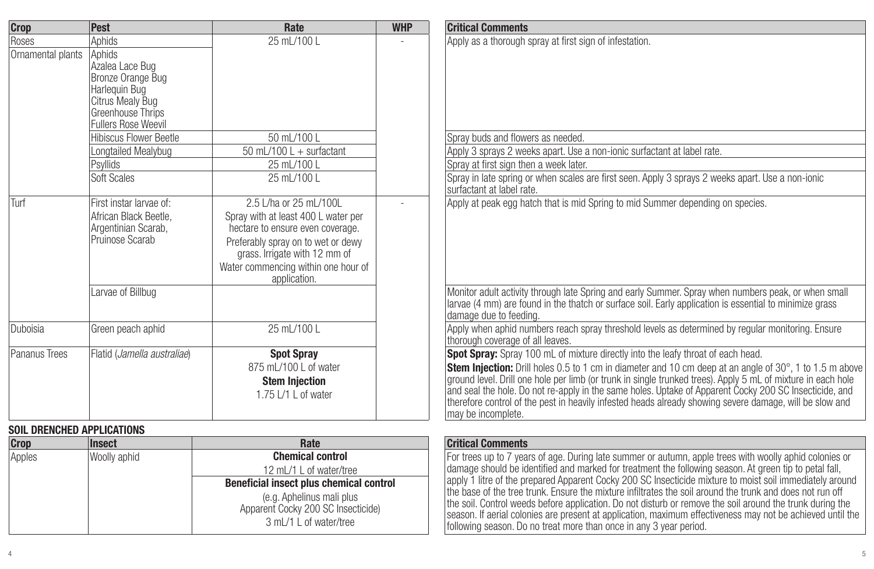| <b>Crop</b>                       | Pest                                                                                                                                                             | Rate                                                                                                                                                                                                                            | <b>WHP</b> | <b>Critical Comments</b>                                                                                                                                                                                                                                                                                                                                                                                                                                                                                                                                                |
|-----------------------------------|------------------------------------------------------------------------------------------------------------------------------------------------------------------|---------------------------------------------------------------------------------------------------------------------------------------------------------------------------------------------------------------------------------|------------|-------------------------------------------------------------------------------------------------------------------------------------------------------------------------------------------------------------------------------------------------------------------------------------------------------------------------------------------------------------------------------------------------------------------------------------------------------------------------------------------------------------------------------------------------------------------------|
| Roses                             | Aphids                                                                                                                                                           | 25 mL/100 L                                                                                                                                                                                                                     |            | Apply as a thorough spray at first sign of infestation.                                                                                                                                                                                                                                                                                                                                                                                                                                                                                                                 |
| Ornamental plants                 | Aphids<br>Azalea Lace Bug<br>Bronze Orange Bug<br>Harlequin Bug<br>Citrus Mealy Bug<br>Greenhouse Thrips<br>Fullers Rose Weevil<br><b>Hibiscus Flower Beetle</b> | 50 mL/100 L                                                                                                                                                                                                                     |            | Spray buds and flowers as needed.                                                                                                                                                                                                                                                                                                                                                                                                                                                                                                                                       |
|                                   | Longtailed Mealybug                                                                                                                                              | 50 mL/100 L + surfactant                                                                                                                                                                                                        |            | Apply 3 sprays 2 weeks apart. Use a non-ionic surfactant at label rate.                                                                                                                                                                                                                                                                                                                                                                                                                                                                                                 |
|                                   | Psyllids                                                                                                                                                         | 25 mL/100 L                                                                                                                                                                                                                     |            | Spray at first sign then a week later.                                                                                                                                                                                                                                                                                                                                                                                                                                                                                                                                  |
|                                   | Soft Scales                                                                                                                                                      | 25 mL/100 L                                                                                                                                                                                                                     |            | Spray in late spring or when scales are first seen. Apply 3 sprays 2 weeks apart. Use a non-ionic<br>surfactant at label rate.                                                                                                                                                                                                                                                                                                                                                                                                                                          |
| Turf                              | First instar larvae of:<br>African Black Beetle.<br>Argentinian Scarab,<br>Pruinose Scarab                                                                       | 2.5 L/ha or 25 mL/100L<br>Spray with at least 400 L water per<br>hectare to ensure even coverage.<br>Preferably spray on to wet or dewy<br>grass. Irrigate with 12 mm of<br>Water commencing within one hour of<br>application. |            | Apply at peak egg hatch that is mid Spring to mid Summer depending on species.                                                                                                                                                                                                                                                                                                                                                                                                                                                                                          |
|                                   | Larvae of Billbug                                                                                                                                                |                                                                                                                                                                                                                                 |            | Monitor adult activity through late Spring and early Summer. Spray when numbers peak, or when small<br>larvae (4 mm) are found in the thatch or surface soil. Early application is essential to minimize grass<br>damage due to feeding.                                                                                                                                                                                                                                                                                                                                |
| Duboisia                          | Green peach aphid                                                                                                                                                | 25 mL/100 L                                                                                                                                                                                                                     |            | Apply when aphid numbers reach spray threshold levels as determined by regular monitoring. Ensure<br>thorough coverage of all leaves.                                                                                                                                                                                                                                                                                                                                                                                                                                   |
| Pananus Trees                     | Flatid (Jamella australiae)                                                                                                                                      | <b>Spot Spray</b><br>875 mL/100 L of water<br><b>Stem Injection</b><br>1.75 L/1 L of water                                                                                                                                      |            | Spot Spray: Spray 100 mL of mixture directly into the leafy throat of each head.<br><b>Stem Injection:</b> Drill holes 0.5 to 1 cm in diameter and 10 cm deep at an angle of $30^{\circ}$ . 1 to 1.5 m above<br>ground level. Drill one hole per limb (or trunk in single trunked trees). Apply 5 mL of mixture in each hole<br>and seal the hole. Do not re-apply in the same holes. Uptake of Apparent Cocky 200 SC Insecticide, and<br>therefore control of the pest in heavily infested heads already showing severe damage, will be slow and<br>may be incomplete. |
| <b>SOIL DRENCHED APPLICATIONS</b> |                                                                                                                                                                  |                                                                                                                                                                                                                                 |            |                                                                                                                                                                                                                                                                                                                                                                                                                                                                                                                                                                         |
| <b>Crop</b>                       | <b>Insect</b>                                                                                                                                                    | Rate                                                                                                                                                                                                                            |            | <b>Critical Comments</b>                                                                                                                                                                                                                                                                                                                                                                                                                                                                                                                                                |
| Apples                            | Woolly aphid                                                                                                                                                     | <b>Chemical control</b><br>12 mL/1 L of water/tree<br>Beneficial insect plus chemical control<br>lo a Anholinue mali plue                                                                                                       |            | For trees up to 7 years of age. During late summer or autumn, apple trees with woolly aphid colonies or<br>damage should be identified and marked for treatment the following season. At green tip to petal fall,<br>apply 1 litre of the prepared Apparent Cocky 200 SC Insecticide mixture to moist soil immediately around<br>the base of the tree trunk. Ensure the mixture infiltrates the soil around the trunk and does not run off                                                                                                                              |

(e.g. Aphelinus mali plus Apparent Cocky 200 SC Insecticide) 3 mL/1 L of water/tree

the soil. Control weeds before application. Do not disturb or remove the soil around the trunk during the season. If aerial colonies are present at application, maximum effectiveness may not be achieved until the following season. Do no treat more than once in any 3 year period.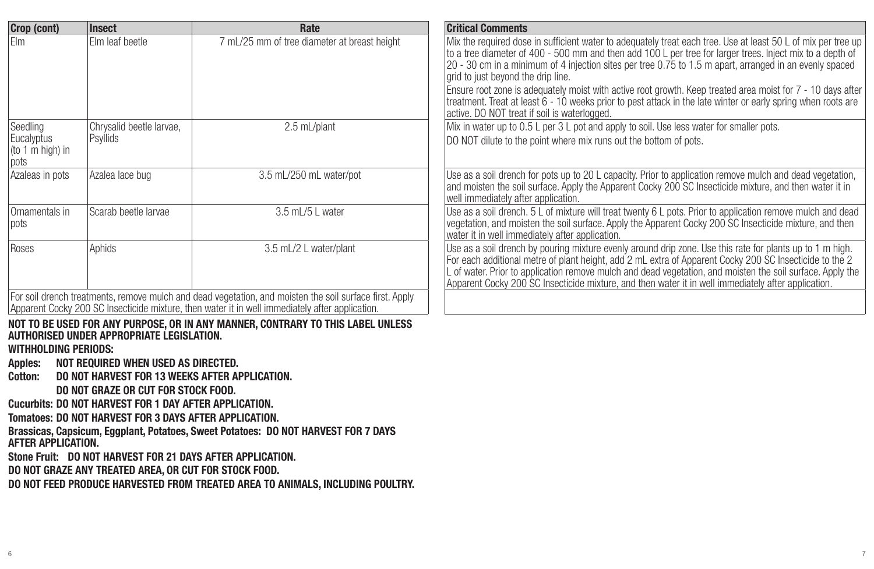| Crop (cont)                                                                    | Insect                                                                                                                                                                                                                                                                                                             | Rate                                                                                                                                                                                                       | <b>Critical Comments</b>                                                                                                                                                                                                                                                                                                                                                                                                                                                                                                                                                                                                                                    |
|--------------------------------------------------------------------------------|--------------------------------------------------------------------------------------------------------------------------------------------------------------------------------------------------------------------------------------------------------------------------------------------------------------------|------------------------------------------------------------------------------------------------------------------------------------------------------------------------------------------------------------|-------------------------------------------------------------------------------------------------------------------------------------------------------------------------------------------------------------------------------------------------------------------------------------------------------------------------------------------------------------------------------------------------------------------------------------------------------------------------------------------------------------------------------------------------------------------------------------------------------------------------------------------------------------|
| <b>Flm</b>                                                                     | Elm leaf beetle                                                                                                                                                                                                                                                                                                    | 7 mL/25 mm of tree diameter at breast height                                                                                                                                                               | Mix the required dose in sufficient water to adequately treat each tree. Use at least 50 L of mix per tree up<br>to a tree diameter of 400 - 500 mm and then add 100 L per tree for larger trees. Inject mix to a depth of<br>20 - 30 cm in a minimum of 4 injection sites per tree 0.75 to 1.5 m apart, arranged in an evenly spaced<br>grid to just beyond the drip line.<br>Ensure root zone is adequately moist with active root growth. Keep treated area moist for 7 - 10 days after<br>treatment. Treat at least 6 - 10 weeks prior to pest attack in the late winter or early spring when roots are<br>active. DO NOT treat if soil is waterlogged. |
| Seedling<br>Eucalyptus<br>(to 1 m high) in<br>pots                             | Chrysalid beetle larvae,<br>Psyllids                                                                                                                                                                                                                                                                               | 2.5 mL/plant                                                                                                                                                                                               | Mix in water up to 0.5 L per 3 L pot and apply to soil. Use less water for smaller pots.<br>DO NOT dilute to the point where mix runs out the bottom of pots.                                                                                                                                                                                                                                                                                                                                                                                                                                                                                               |
| Azaleas in pots                                                                | Azalea lace bug                                                                                                                                                                                                                                                                                                    | 3.5 mL/250 mL water/pot                                                                                                                                                                                    | Use as a soil drench for pots up to 20 L capacity. Prior to application remove mulch and dead vegetation,<br>and moisten the soil surface. Apply the Apparent Cocky 200 SC Insecticide mixture, and then water it in<br>well immediately after application.                                                                                                                                                                                                                                                                                                                                                                                                 |
| Ornamentals in<br>pots                                                         | Scarab beetle larvae                                                                                                                                                                                                                                                                                               | 3.5 mL/5 L water                                                                                                                                                                                           | Use as a soil drench. 5 L of mixture will treat twenty 6 L pots. Prior to application remove mulch and dead<br>vegetation, and moisten the soil surface. Apply the Apparent Cocky 200 SC Insecticide mixture, and then<br>water it in well immediately after application.                                                                                                                                                                                                                                                                                                                                                                                   |
| Roses                                                                          | Aphids                                                                                                                                                                                                                                                                                                             | 3.5 mL/2 L water/plant                                                                                                                                                                                     | Use as a soil drench by pouring mixture evenly around drip zone. Use this rate for plants up to 1 m high.<br>For each additional metre of plant height, add 2 mL extra of Apparent Cocky 200 SC Insecticide to the 2<br>L of water. Prior to application remove mulch and dead vegetation, and moisten the soil surface. Apply the<br>Apparent Cocky 200 SC Insecticide mixture, and then water it in well immediately after application.                                                                                                                                                                                                                   |
|                                                                                |                                                                                                                                                                                                                                                                                                                    | For soil drench treatments, remove mulch and dead vegetation, and moisten the soil surface first. Apply<br>Apparent Cocky 200 SC Insecticide mixture, then water it in well immediately after application. |                                                                                                                                                                                                                                                                                                                                                                                                                                                                                                                                                                                                                                                             |
| <b>WITHHOLDING PERIODS:</b><br>Apples:<br><b>Cotton:</b><br>AFTER APPLICATION. | AUTHORISED UNDER APPROPRIATE LEGISLATION.<br>NOT REQUIRED WHEN USED AS DIRECTED.<br><b>DO NOT HARVEST FOR 13 WEEKS AFTER APPLICATION.</b><br><b>DO NOT GRAZE OR CUT FOR STOCK FOOD.</b><br><b>Cucurbits: DO NOT HARVEST FOR 1 DAY AFTER APPLICATION.</b><br>Tomatoes: DO NOT HARVEST FOR 3 DAYS AFTER APPLICATION. | NOT TO BE USED FOR ANY PURPOSE, OR IN ANY MANNER, CONTRARY TO THIS LABEL UNLESS<br>Brassicas, Capsicum, Eggplant, Potatoes, Sweet Potatoes: DO NOT HARVEST FOR 7 DAYS                                      |                                                                                                                                                                                                                                                                                                                                                                                                                                                                                                                                                                                                                                                             |
|                                                                                | Stone Fruit: DO NOT HARVEST FOR 21 DAYS AFTER APPLICATION.<br>BO NOT CRAZE ANY TREATER AREA. OR OUT FOR CTOOK FOOR                                                                                                                                                                                                 |                                                                                                                                                                                                            |                                                                                                                                                                                                                                                                                                                                                                                                                                                                                                                                                                                                                                                             |

**DO NOT GRAZE ANY TREATED AREA, OR CUT FOR STOCK FOOD. DO NOT FEED PRODUCE HARVESTED FROM TREATED AREA TO ANIMALS, INCLUDING POULTRY.**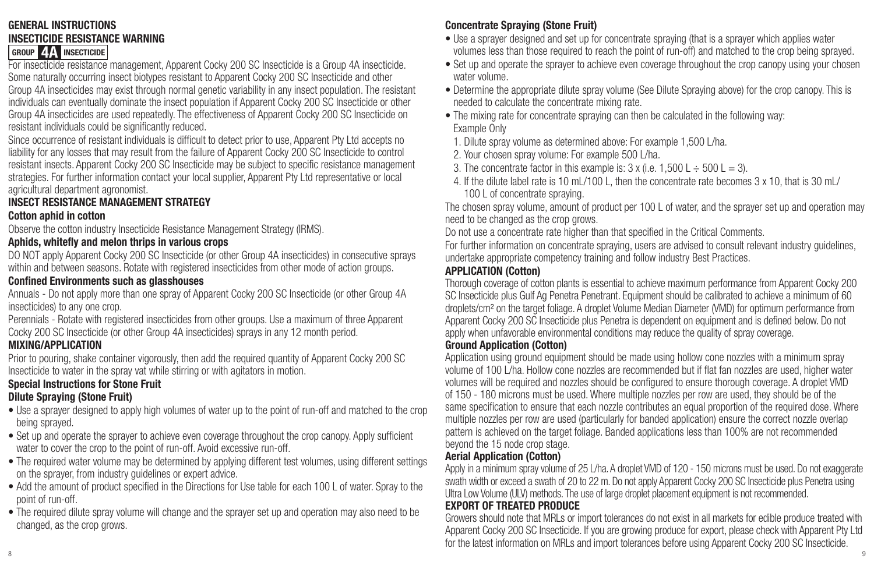#### **GENERAL INSTRUCTIONS INSECTICIDE RESISTANCE WARNING GROUP 4A INSECTICIDE**

For insecticide resistance management, Apparent Cocky 200 SC Insecticide is a Group 4A insecticide. Some naturally occurring insect biotypes resistant to Apparent Cocky 200 SC Insecticide and other Group 4A insecticides may exist through normal genetic variability in any insect population. The resistant individuals can eventually dominate the insect population if Apparent Cocky 200 SC Insecticide or other Group 4A insecticides are used repeatedly. The effectiveness of Apparent Cocky 200 SC Insecticide on resistant individuals could be significantly reduced.

Since occurrence of resistant individuals is difficult to detect prior to use, Apparent Pty Ltd accepts no liability for any losses that may result from the failure of Apparent Cocky 200 SC Insecticide to control resistant insects. Apparent Cocky 200 SC Insecticide may be subject to specific resistance management strategies. For further information contact your local supplier, Apparent Pty Ltd representative or local agricultural department agronomist.

#### **INSECT RESISTANCE MANAGEMENT STRATEGY**

#### **Cotton aphid in cotton**

Observe the cotton industry Insecticide Resistance Management Strategy (IRMS).

#### **Aphids, whitefly and melon thrips in various crops**

DO NOT apply Apparent Cocky 200 SC Insecticide (or other Group 4A insecticides) in consecutive sprays within and between seasons. Rotate with registered insecticides from other mode of action groups.

#### **Confined Environments such as glasshouses**

Annuals - Do not apply more than one spray of Apparent Cocky 200 SC Insecticide (or other Group 4A insecticides) to any one crop.

Perennials - Rotate with registered insecticides from other groups. Use a maximum of three Apparent Cocky 200 SC Insecticide (or other Group 4A insecticides) sprays in any 12 month period.

#### **MIXING/APPLICATION**

Prior to pouring, shake container vigorously, then add the required quantity of Apparent Cocky 200 SC Insecticide to water in the spray vat while stirring or with agitators in motion.

#### **Special Instructions for Stone Fruit**

#### **Dilute Spraying (Stone Fruit)**

- Use a sprayer designed to apply high volumes of water up to the point of run-off and matched to the crop being sprayed.
- Set up and operate the sprayer to achieve even coverage throughout the crop canopy. Apply sufficient water to cover the crop to the point of run-off. Avoid excessive run-off.
- The required water volume may be determined by applying different test volumes, using different settings on the sprayer, from industry guidelines or expert advice.
- Add the amount of product specified in the Directions for Use table for each 100 L of water. Spray to the point of run-off.
- The required dilute spray volume will change and the sprayer set up and operation may also need to be changed, as the crop grows.

#### **Concentrate Spraying (Stone Fruit)**

- Use a sprayer designed and set up for concentrate spraying (that is a sprayer which applies water volumes less than those required to reach the point of run-off) and matched to the crop being sprayed.
- Set up and operate the sprayer to achieve even coverage throughout the crop canopy using your chosen water volume.
- Determine the appropriate dilute spray volume (See Dilute Spraying above) for the crop canopy. This is needed to calculate the concentrate mixing rate.
- The mixing rate for concentrate spraying can then be calculated in the following way: Example Only
- 1. Dilute spray volume as determined above: For example 1,500 L/ha.
- 2. Your chosen spray volume: For example 500 L/ha.
- 3. The concentrate factor in this example is:  $3 \times 100$ .  $\pm 500$  L  $\pm 500$  L  $= 3$ ).
- 4. If the dilute label rate is 10 mL/100 L, then the concentrate rate becomes 3 x 10, that is 30 mL/ 100 L of concentrate spraying.

The chosen spray volume, amount of product per 100 L of water, and the sprayer set up and operation may need to be changed as the crop grows.

Do not use a concentrate rate higher than that specified in the Critical Comments.

For further information on concentrate spraying, users are advised to consult relevant industry guidelines, undertake appropriate competency training and follow industry Best Practices.

#### **APPLICATION (Cotton)**

Thorough coverage of cotton plants is essential to achieve maximum performance from Apparent Cocky 200 SC Insecticide plus Gulf Ag Penetra Penetrant. Equipment should be calibrated to achieve a minimum of 60 droplets/cm² on the target foliage. A droplet Volume Median Diameter (VMD) for optimum performance from Apparent Cocky 200 SC Insecticide plus Penetra is dependent on equipment and is defined below. Do not apply when unfavorable environmental conditions may reduce the quality of spray coverage.

#### **Ground Application (Cotton)**

Application using ground equipment should be made using hollow cone nozzles with a minimum spray volume of 100 L/ha. Hollow cone nozzles are recommended but if flat fan nozzles are used, higher water volumes will be required and nozzles should be configured to ensure thorough coverage. A droplet VMD of 150 - 180 microns must be used. Where multiple nozzles per row are used, they should be of the same specification to ensure that each nozzle contributes an equal proportion of the required dose. Where multiple nozzles per row are used (particularly for banded application) ensure the correct nozzle overlap pattern is achieved on the target foliage. Banded applications less than 100% are not recommended beyond the 15 node crop stage.

#### **Aerial Application (Cotton)**

Apply in a minimum spray volume of 25 L/ha. A droplet VMD of 120 - 150 microns must be used. Do not exaggerate swath width or exceed a swath of 20 to 22 m. Do not apply Apparent Cocky 200 SC Insecticide plus Penetra using Ultra Low Volume (ULV) methods. The use of large droplet placement equipment is not recommended.

#### **EXPORT OF TREATED PRODUCE**

8 9 Growers should note that MRLs or import tolerances do not exist in all markets for edible produce treated with Apparent Cocky 200 SC Insecticide. If you are growing produce for export, please check with Apparent Pty Ltd for the latest information on MRLs and import tolerances before using Apparent Cocky 200 SC Insecticide.